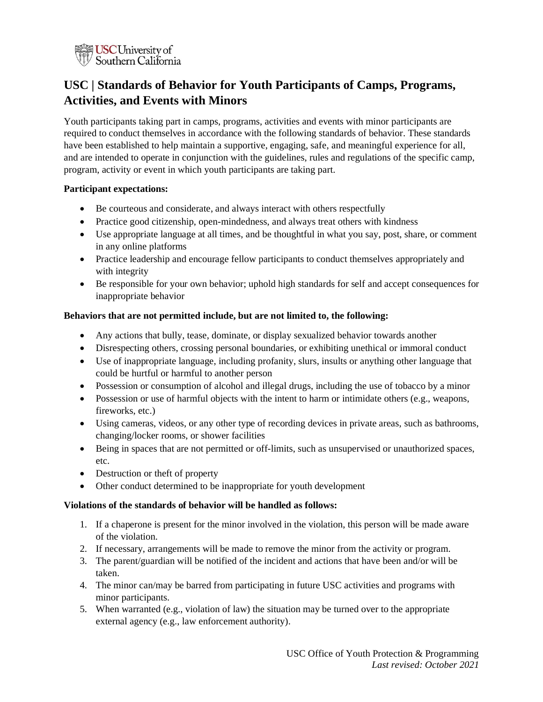

# **USC | Standards of Behavior for Youth Participants of Camps, Programs, Activities, and Events with Minors**

Youth participants taking part in camps, programs, activities and events with minor participants are required to conduct themselves in accordance with the following standards of behavior. These standards have been established to help maintain a supportive, engaging, safe, and meaningful experience for all, and are intended to operate in conjunction with the guidelines, rules and regulations of the specific camp, program, activity or event in which youth participants are taking part.

## **Participant expectations:**

- Be courteous and considerate, and always interact with others respectfully
- Practice good citizenship, open-mindedness, and always treat others with kindness
- Use appropriate language at all times, and be thoughtful in what you say, post, share, or comment in any online platforms
- Practice leadership and encourage fellow participants to conduct themselves appropriately and with integrity
- Be responsible for your own behavior; uphold high standards for self and accept consequences for inappropriate behavior

# **Behaviors that are not permitted include, but are not limited to, the following:**

- Any actions that bully, tease, dominate, or display sexualized behavior towards another
- Disrespecting others, crossing personal boundaries, or exhibiting unethical or immoral conduct
- Use of inappropriate language, including profanity, slurs, insults or anything other language that could be hurtful or harmful to another person
- Possession or consumption of alcohol and illegal drugs, including the use of tobacco by a minor
- Possession or use of harmful objects with the intent to harm or intimidate others (e.g., weapons, fireworks, etc.)
- Using cameras, videos, or any other type of recording devices in private areas, such as bathrooms, changing/locker rooms, or shower facilities
- Being in spaces that are not permitted or off-limits, such as unsupervised or unauthorized spaces, etc.
- Destruction or theft of property
- Other conduct determined to be inappropriate for youth development

# **Violations of the standards of behavior will be handled as follows:**

- 1. If a chaperone is present for the minor involved in the violation, this person will be made aware of the violation.
- 2. If necessary, arrangements will be made to remove the minor from the activity or program.
- 3. The parent/guardian will be notified of the incident and actions that have been and/or will be taken.
- 4. The minor can/may be barred from participating in future USC activities and programs with minor participants.
- 5. When warranted (e.g., violation of law) the situation may be turned over to the appropriate external agency (e.g., law enforcement authority).